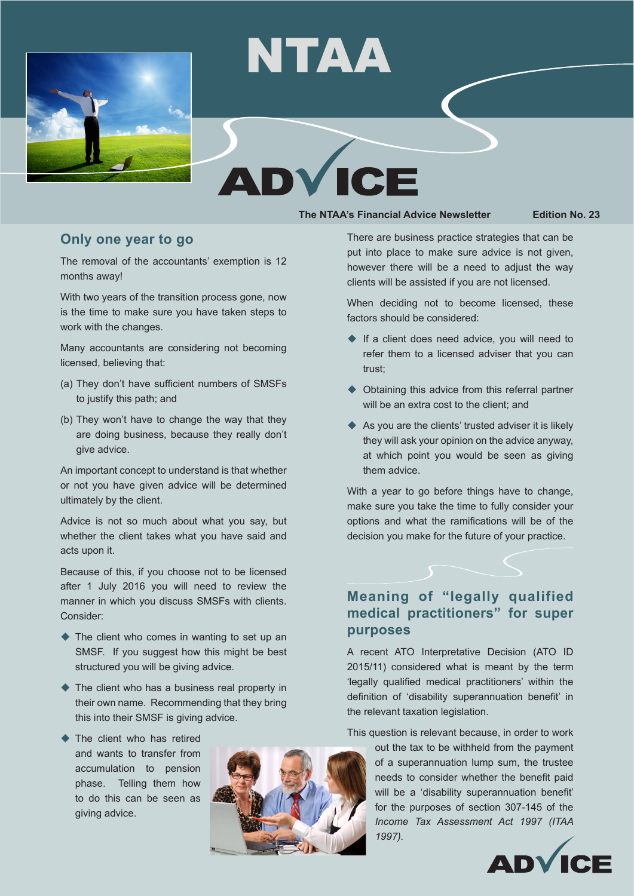

# NTAA

#### **The NTAA's Financial Advice Newsletter Edition No. 23**

#### **Only one year to go**

The removal of the accountants' exemption is 12 months away!

With two years of the transition process gone, now is the time to make sure you have taken steps to work with the changes.

Many accountants are considering not becoming licensed, believing that:

- (a) They don't have sufficient numbers of SMSFs to justify this path; and
- (b) They won't have to change the way that they are doing business, because they really don't give advice.

An important concept to understand is that whether or not you have given advice will be determined ultimately by the client.

Advice is not so much about what you say, but whether the client takes what you have said and acts upon it.

Because of this, if you choose not to be licensed after 1 July 2016 you will need to review the manner in which you discuss SMSFs with clients. Consider:

- $\blacklozenge$  The client who comes in wanting to set up an SMSF. If you suggest how this might be best structured you will be giving advice.
- $\blacklozenge$  The client who has a business real property in their own name. Recommending that they bring this into their SMSF is giving advice.
- $\blacktriangleright$  The client who has retired and wants to transfer from accumulation to pension phase. Telling them how to do this can be seen as giving advice.



There are business practice strategies that can be put into place to make sure advice is not given, however there will be a need to adjust the way clients will be assisted if you are not licensed.

When deciding not to become licensed, these factors should be considered:

- $\blacklozenge$  If a client does need advice, you will need to refer them to a licensed adviser that you can trust;
- $\blacklozenge$  Obtaining this advice from this referral partner will be an extra cost to the client; and
- $\triangle$  As you are the clients' trusted adviser it is likely they will ask your opinion on the advice anyway, at which point you would be seen as giving them advice.

With a year to go before things have to change, make sure you take the time to fully consider your options and what the ramifications will be of the decision you make for the future of your practice.

## **Meaning of "legally qualified medical practitioners" for super purposes**

A recent ATO Interpretative Decision (ATO ID 2015/11) considered what is meant by the term 'legally qualified medical practitioners' within the definition of 'disability superannuation benefit' in the relevant taxation legislation.

This question is relevant because, in order to work

out the tax to be withheld from the payment of a superannuation lump sum, the trustee needs to consider whether the benefit paid will be a 'disability superannuation benefit' for the purposes of section 307-145 of the *Income Tax Assessment Act 1997 (ITAA 1997).* 

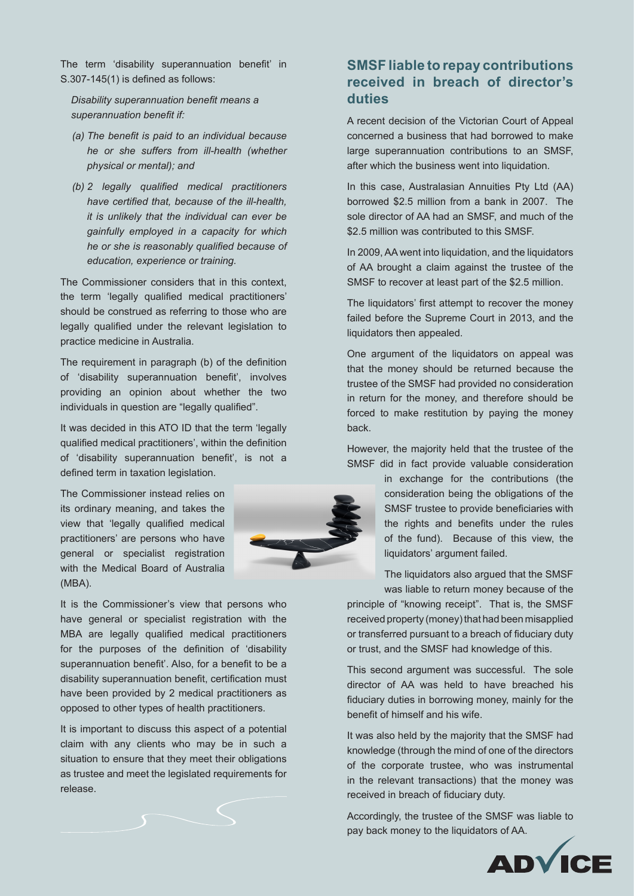The term 'disability superannuation benefit' in S.307-145(1) is defined as follows:

*Disability superannuation benefit means a superannuation benefit if:*

- *(a) The benefit is paid to an individual because he or she suffers from ill-health (whether physical or mental); and*
- *(b) 2 legally qualified medical practitioners have certified that, because of the ill-health, it is unlikely that the individual can ever be gainfully employed in a capacity for which he or she is reasonably qualified because of education, experience or training.*

The Commissioner considers that in this context, the term 'legally qualified medical practitioners' should be construed as referring to those who are legally qualified under the relevant legislation to practice medicine in Australia.

The requirement in paragraph (b) of the definition of 'disability superannuation benefit', involves providing an opinion about whether the two individuals in question are "legally qualified".

It was decided in this ATO ID that the term 'legally qualified medical practitioners', within the definition of 'disability superannuation benefit', is not a defined term in taxation legislation.

The Commissioner instead relies on its ordinary meaning, and takes the view that 'legally qualified medical practitioners' are persons who have general or specialist registration with the Medical Board of Australia (MBA).

It is the Commissioner's view that persons who have general or specialist registration with the MBA are legally qualified medical practitioners for the purposes of the definition of 'disability superannuation benefit'. Also, for a benefit to be a disability superannuation benefit, certification must have been provided by 2 medical practitioners as opposed to other types of health practitioners.

It is important to discuss this aspect of a potential claim with any clients who may be in such a situation to ensure that they meet their obligations as trustee and meet the legislated requirements for release.



### **SMSF liable to repay contributions received in breach of director's duties**

A recent decision of the Victorian Court of Appeal concerned a business that had borrowed to make large superannuation contributions to an SMSF, after which the business went into liquidation.

In this case, Australasian Annuities Pty Ltd (AA) borrowed \$2.5 million from a bank in 2007. The sole director of AA had an SMSF, and much of the \$2.5 million was contributed to this SMSF.

In 2009,AA went into liquidation, and the liquidators of AA brought a claim against the trustee of the SMSF to recover at least part of the \$2.5 million.

The liquidators' first attempt to recover the money failed before the Supreme Court in 2013, and the liquidators then appealed.

One argument of the liquidators on appeal was that the money should be returned because the trustee of the SMSF had provided no consideration in return for the money, and therefore should be forced to make restitution by paying the money back.

However, the majority held that the trustee of the SMSF did in fact provide valuable consideration

> in exchange for the contributions (the consideration being the obligations of the SMSF trustee to provide beneficiaries with the rights and benefits under the rules of the fund). Because of this view, the liquidators' argument failed.

> The liquidators also argued that the SMSF was liable to return money because of the

principle of "knowing receipt". That is, the SMSF received property (money) that had been misapplied or transferred pursuant to a breach of fiduciary duty or trust, and the SMSF had knowledge of this.

This second argument was successful. The sole director of AA was held to have breached his fiduciary duties in borrowing money, mainly for the benefit of himself and his wife.

It was also held by the majority that the SMSF had knowledge (through the mind of one of the directors of the corporate trustee, who was instrumental in the relevant transactions) that the money was received in breach of fiduciary duty.

Accordingly, the trustee of the SMSF was liable to pay back money to the liquidators of AA.